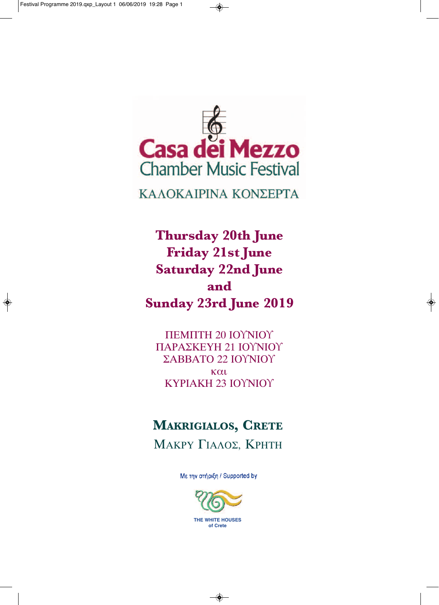$\bigcirc$ 



◈

ΚΑΛΟΚΑΙΡΙΝΑ ΚΟΝΣΕΡΤΑ

**thursday 20th June Friday 21st June saturday 22nd June and sunday 23rd June 2019**

ΠΕΜΠΤΗ 20 ΙΟϒΝΙΟϒ ΠΑΡΑΣΚΕΥΗ 21 ΙΟϒΝΙΟϒ ΣΑΒΒΑΤΟ 22 ΙΟϒΝΙΟϒ και ΚΥΡΙΑΚΗ 23 ΙΟϒΝΙΟϒ

# **Makrigialos, Crete**

ΜΑΚΡΥ ΓΙΑΛΟΣ, ΚΡΗΤΗ

Με την στήριξη / Supported by



◈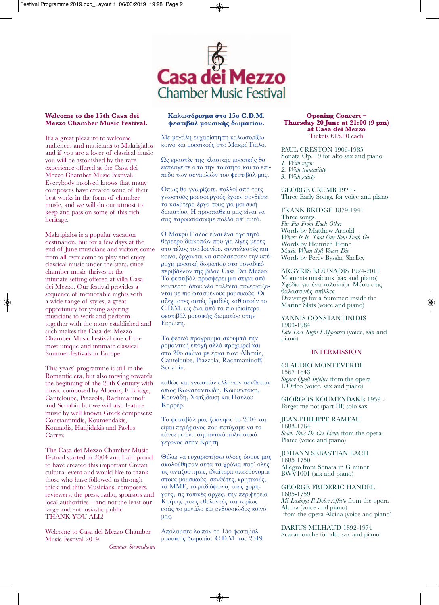

#### **Welcome to the 15th Casa dei Mezzo Chamber Music Festival.**

It's a great pleasure to welcome audiences and musicians to Makrigialos and if you are a lover of classical music you will be astonished by the rare experience offered at the Casa dei Mezzo Chamber Music Festival. Everybody involved knows that many composers have created some of their best works in the form of chamber music, and we will do our utmost to keep and pass on some of this rich heritage.

Makrigialos is a popular vacation destination, but for a few days at the end of June musicians and visitors come from all over come to play and enjoy classical music under the stars, since chamber music thrives in the intimate setting offered at villa Casa dei Mezzo. Our festival provides a sequence of memorable nights with a wide range of styles, a great opportunity for young aspiring musicians to work and perform together with the more established and such makes the Casa dei Mezzo Chamber Music Festival one of the most unique and intimate classical Summer festivals in Europe.

This years' programme is still in the Romantic era, but also moving towards the beginning of the 20th Century with music composed by Albeniz, F. Bridge, Canteloube, Piazzola, Rachmaninoff and Scriabin but we will also feature music by well known Greek composers: Constantinidis, Koumendakis, Kounadis, Hadjidakis and Pavlos Carrer.

The Casa dei Mezzo Chamber Music Festival started in 2004 and I am proud to have created this important Cretan cultural event and would like to thank those who have followed us through thick and thin: Musicians, composers, reviewers, the press, radio, sponsors and local authorities – and not the least our large and enthusiastic public. THANK YOU ALL!

Welcome to Casa dei Mezzo Chamber Music Festival 2019.

*Gunnar Strømsholm*

#### **Καλωσόρισμα στο 15ο C.D.M. φεστιβάλ μουσικής δωματίου.**

Με μεγάλη ευχαρίστηση καλωσορίζω κοινό και μουσικούς στο Μακρύ Γιαλό.

Ως εραστές της κλασικής μουσικής θα εκπλαγείτε από την ποιότητα και το επίπεδο των συναυλιών του φεστιβάλ μας.

Όπως θα γνωρίζετε, πολλοί από τους γνωστούς μουσουργούς έχουν συνθέσει τα καλύτερα έργα τους για μουσική δωματίου. Η προσπάθεια μας είναι να σας παρουσιάσουμε πολλά απ' αυτά.

Ο Μακρύ Γιαλός είναι ένα αγαπητό θέρετρο διακοπών που για λίγες μέρες στο τέλος του Ιουνίου, συντελεστές και κοινό, έρχονται να απολαύσουν την υπέροχη μουσική δωματίου στο μοναδικό περιβάλλον της βίλας Casa Dei Mezzo. Το φεστιβάλ προσφέρει μια σειρά από κονσέρτα όπου νέα ταλέντα συνεργάζονται με πιο φτασμένους μουσικούς. Οι αξέχαστες αυτές βραδιές καθιστούν το C.D.M. ως ένα από τα πιο ιδιαίτερα φεστιβάλ μουσικής δωματίου στην Ευρώπη.

Το φετινό πρόγραμμα ακουμπά την ρομαντική εποχή αλλά προχωρεί και στο 20ο αιώνα με έργα των: Albeniz, Canteloube, Piazzola, Rachmaninoff, Scriabin.

καθώς και γνωστών ελλήνων συνθετών όπως Κωνσταντινίδη, Κουμεντάκη, Κουνάδη, Χατζιδάκη και Παύλου Καρρέρ.

Το φεστιβάλ μας ξεκίνησε το 2004 και είμαι περήφανος που πετύχαμε να το κάνουμε ένα σημαντικό πολιτιστικό γεγονός στην Κρήτη.

Θέλω να ευχαριστήσω όλους όσους μας ακολούθησαν αυτά τα χρόνια παρ' όλες τις αντιξοότητες, ιδιαίτερα απευθύνομαι στους μουσικούς, συνθέτες, κρητικούς, τα ΜΜΕ, το ραδιόφωνο, τους χορηγούς, τις τοπικές αρχές, την περιφέρεια Κρήτης ,τους εθελοντές και κυρίως εσάς το μεγάλο και ενθουσιώδες κοινό μας.

Απολαύστε λοιπόν το 15ο φεστιβάλ μουσικής δωματίου C.D.M. του 2019.

#### **opening Concert – thursday 20 June at 21:00 (9 pm) at Casa dei Mezzo** Tickets €15.00 each

PAUL CRESTON 1906-1985 Sonata Op. 19 for alto sax and piano *1. With vigor 2. With tranquility 3. With gaiety*

GEORGE CRUMB 1929 - Three Early Songs, for voice and piano

FRANK BRIDGE 1879-1941 Three songs. *Far Far From Each Other* Words by Matthew Arnold *Where Is It, That Our Soul Doth Go* Words by Heinrich Heine<br>Music When Soft Voices Die <sup>M</sup>*usic When Soft Voices Die* Words by Percy Bysshe Shelley

ARGYRIS KOUNADIS 1924-2011 Moments musicaux (sax and piano) Σχέδια για ένα καλοκαίρι: Μέσα στις θαλασσινές σπίλλες Marine Slats (voice and piano)

YANNIS CONSTANTINIDIS 1903-1984 *Late Last Night I Appeared* (voice, sax and piano)

#### INTERMISSION

CLAUDIO MONTEvERDI 1567-1643 *Signor Quell Infelice* from the opera L'Orfeo (voice, sax and piano)

GIORGOS KOUMENDAKIs 1959 - Forget me not (part III) solo sax

JEAN-PHILIPPE RAMEAU 1683-1764 *Solei, Fuis De Ces Lieux* from the opera Platée (voice and piano)

JOHANN SEBASTIAN BACH 1685-1750 Allegro from Sonata in G minor BWv1001 (sax and piano)

GEORGE FRIDERIC HANDEL 1685-1759 *Mi Lusinga Il Dolce Affetto* from the opera Alcina (voice and piano) from the opera Alcina (voice and piano)

DARIUS MILHAUD 1892-1974 Scaramouche for alto sax and piano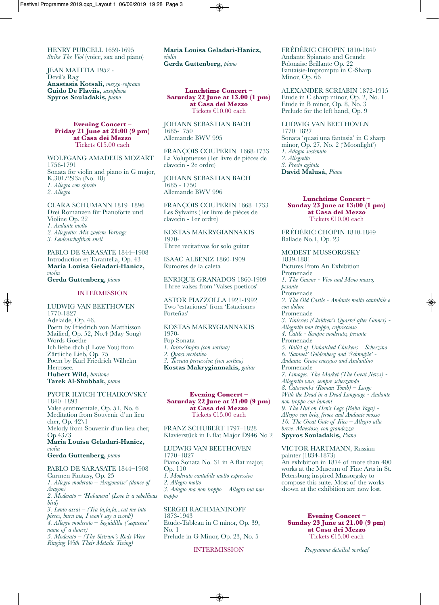HENRY PURCELL 1659-1695 *Strike The Viol* (voice, sax and piano)

JEAN MATITIA 1952 - Devil's Rag **Anastasia Kotsali,** *mezzo-soprano* **Guido De Flaviis,** *saxophone* **Spyros Souladakis,** *piano*

#### **evening Concert – Friday 21 June at 21:00 (9 pm) at Casa dei Mezzo** Tickets €15.00 each

WOLFGANG AMADEUS MOzART 1756-1791 Sonata for violin and piano in <sup>G</sup> major, K.301/293a (No. 18) *1. Allegro con spirito 2. Allegro*

CLARA SCHUMANN 1819–1896 Drei Romanzen für Pianoforte und Violine Op. 22<br>1. Andante molto *1. Andante molto 2. Allegretto: Mit zaetem Vortrage 3. Leidenschaftlich snell*

PABLO DE SARASATE 1844–1908 Introduction et Tarantella, Op. 43 **Maria Louisa Geladari-Hanicz,** *violin*

# **Gerda Guttenberg,** *piano*

#### INTERMISSION

LUDWIG vAN BEETHOvEN 1770-1827 Adelaide, Op. 46. Poem by Friedrich von Matthisson Mailied, Op. 52, No.4 (May Song) Ich liebe dich (I Love You) from<br>Zärtliche Lieb, Op. 75 Poem by Karl Friedrich Wilhelm Herrosee. **Hubert Wild,** *baritone* **Tarek Al-Shubbak,** *piano*

#### PYOTR ILYICH TCHAIKOvSKY 1840–1893

valse sentimentale, Op. 51, No. 6 Meditation from Souvenir d'un lieu cher, Op. 42\1 Melody from Souvenir d'un lieu cher, Op.43/3 **Maria Louisa Geladari-Hanicz,** *violin* **Gerda Guttenberg,** *piano*

# PABLO DE SARASATE 1844–1908

Carmen Fantasy, Op. 25 *1. Allegro moderato – 'Aragonaise' (dance of Aragon) 2. Moderato – 'Habanera' (Love is a rebellious bird) 3. Lento assai – (Tra la,la,la...cut me into pieces, burn me, I won't say a word!)*

*4. Allegro moderato – Seguidilla ('sequence' name of a dance) 5. Moderato – (The Sistrum's Rods Were*

*Ringing With Their Metalic Twing)*

**Maria Louisa Geladari-Hanicz,** *violin* **Gerda Guttenberg,** *piano*

**lunchtime Concert – saturday 22 June at 13.00 (1 pm) at Casa dei Mezzo** Tickets €10.00 each

JOHANN SEBASTIAN BACH 1685-1750 Allemande BWv 995

FRANçOIS COUPERIN 1668-1733 La voluptueuse (1er livre de pièces de clavecin - 2e ordre)

JOHANN SEBASTIAN BACH 1685 - 1750 Allemande BWv 996

FRANçOIS COUPERIN 1668–1733 Les Sylvains (1er livre de pièces de clavecin - 1er ordre)

KOSTAS MAKRYGIANNAKIS<br>1970-

Three recitativos for solo guitar

ISAAC ALBENIz 1860-1909 Rumores de la caleta

ENRIqUE GRANADOS 1860-1909 Three valses from 'Valses poeticos'

ASTOR PIAzzOLLA 1921-1992 Two 'estaciones' from 'Estaciones Porteñas'

KOSTAS MAKRYGIANNAKIS 1970- Pop Sonata *1. Intro/Impro (con sortina) 2. Quasi recitativo 3. Toccata percussiva (con sortina)* **Kostas Makrygiannakis,** *guitar*

#### **evening Concert – saturday 22 June at 21:00 (9 pm) at Casa dei Mezzo** Tickets €15.00 each

FRANz SCHUBERT 1797–1828 Klavierstück in E flat Major D946 No 2

#### LUDWIG vAN BEETHOvEN

1770–1827 Piano Sonata No. 31 in A flat major, Op. 110 *1. Moderato cantabile molto espressivo 2. Allegro molto 3. Adagio ma non troppo – Allegro ma non troppo*

#### SERGEI RACHMANINOFF

1873-1943 Etude-Tableau in C minor, Op. 39, No. 1 Prelude in G Minor, Op. 23, No. 5

#### INTERMISSION

◈

FRéDéRIC CHOPIN 1810-1849 Andante Spianato and Grande Polonaise Brillante Op. 22 Fantaisie-Impromptu in C-Sharp Minor, Op. 66

ALExANDER SCRIABIN 1872-1915 Etude in C sharp minor, Op. 2, No. 1 Etude in B minor, Op. 8, No. 3 Prelude for the left hand, Op. 9

LUDWIG vAN BEETHOvEN 1770–1827 Sonata 'quasi una fantasia' in C sharp minor, Op. 27, No. 2 ('Moonlight') *1. Adagio sostenuto 2. Allegretto 3. Presto agitato* **David Malusá,** *Piano*

**lunchtime Concert – sunday 23 June at 13:00 (1 pm) at Casa dei Mezzo** Tickets €10.00 each

FRéDéRIC CHOPIN 1810-1849 Ballade No.1, Op. 23

MODEST MUSSORGSKY 1839-1881 Pictures From An Exhibition Promenade *1. The Gnome - Vivo and Meno mosso, pesante* Promenade *2. The Old Castle - Andante molto cantabile e con dolore* Promenade *3. Tuileries (Children's Quarrel after Games) - Allegretto non troppo, capriccioso 4. Cattle - Sempre moderato, pesante* Promenade *5. Ballet of Unhatched Chickens – Scherzino 6. 'Samuel' Goldenberg and 'Schmuÿle' - Andante. Grave energico and Andantino* Promenade *7. Limoges. The Market (The Great News) - Allegretto vivo, sempre scherzando* With the Dead in a Dead Language - Andante<br>non troppo con lament<br>9. The Hut on Hen's Legs (Baba Yaga) -Allegro con brio, feroce and Andante mosso<br>10. The Great Gate of Kiev – Allegro alla<br>breve. Maestoso, con grandezza **Spyros Souladakis,** *Piano*

vICTOR HARTMANN, Russian painter (1834-1873) works at the Museum of Fine Arts in St. Petersburg inspired Mussorgsky to compose this suite. Most of the works shown at the exhibition are now lost.

**evening Concert – sunday 23 June at 21.00 (9 pm) at Casa dei Mezzo** Tickets €15.00 each

*Programme detailed overleaf*